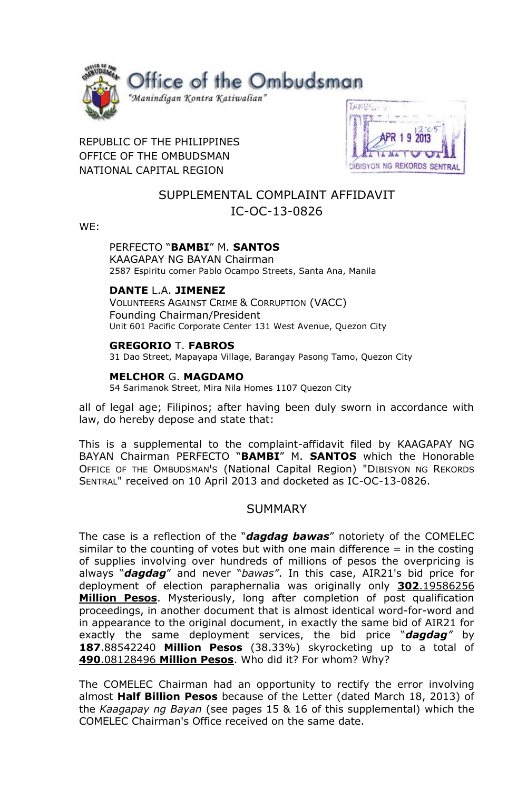

## REPUBLIC OF THE PHILIPPINES OFFICE OF THE OMBUDSMAN NATIONAL CAPITAL REGION



# SUPPLEMENTAL COMPLAINT AFFIDAVIT IC-OC-13-0826

WE:

## PERFECTO "**BAMBI**" M. **SANTOS**

KAAGAPAY NG BAYAN Chairman 2587 Espiritu corner Pablo Ocampo Streets, Santa Ana, Manila

### **DANTE** L.A. **JIMENEZ**

VOLUNTEERS AGAINST CRIME & CORRUPTION (VACC) Founding Chairman/President Unit 601 Pacific Corporate Center 131 West Avenue, Quezon City

### **GREGORIO** T. **FABROS**

31 Dao Street, Mapayapa Village, Barangay Pasong Tamo, Quezon City

### **MELCHOR** G. **MAGDAMO**

54 Sarimanok Street, Mira Nila Homes 1107 Quezon City

all of legal age; Filipinos; after having been duly sworn in accordance with law, do hereby depose and state that:

This is a supplemental to the complaint-affidavit filed by KAAGAPAY NG BAYAN Chairman PERFECTO "**BAMBI**" M. **SANTOS** which the Honorable OFFICE OF THE OMBUDSMAN'S (National Capital Region) "DIBISYON NG REKORDS SENTRAL" received on 10 April 2013 and docketed as IC-OC-13-0826.

## **SUMMARY**

The case is a reflection of the "*dagdag bawas*" notoriety of the COMELEC similar to the counting of votes but with one main difference  $=$  in the costing of supplies involving over hundreds of millions of pesos the overpricing is always "**dagdag**" and never "bawas". In this case, AIR21's bid price for deployment of election paraphernalia was originally only **302**.19586256 **Million Pesos**. Mysteriously, long after completion of post qualification proceedings, in another document that is almost identical word-for-word and in appearance to the original document, in exactly the same bid of AIR21 for exactly the same deployment services, the bid price "*dagdag"* by **187**.88542240 **Million Pesos** (38.33%) skyrocketing up to a total of **490**.08128496 **Million Pesos**. Who did it? For whom? Why?

The COMELEC Chairman had an opportunity to rectify the error involving almost **Half Billion Pesos** because of the Letter (dated March 18, 2013) of the *Kaagapay ng Bayan* (see pages 15 & 16 of this supplemental) which the COMELEC ChairmanꞋs Office received on the same date.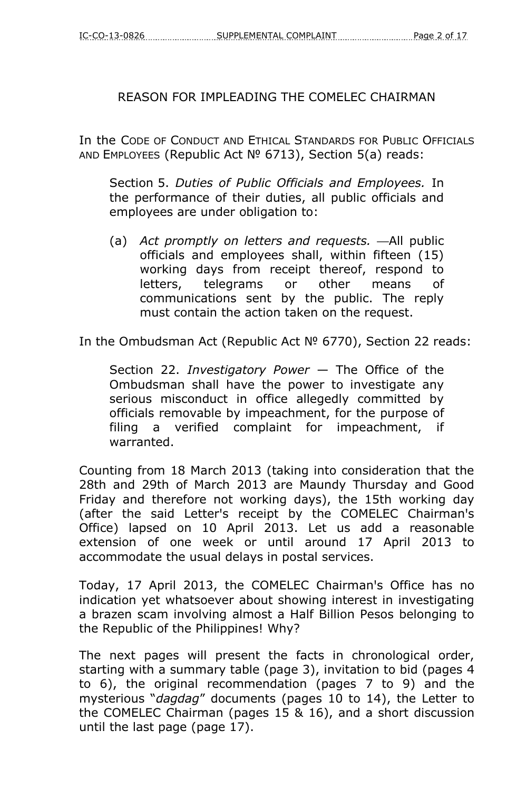# REASON FOR IMPLEADING THE COMELEC CHAIRMAN

In the CODE OF CONDUCT AND ETHICAL STANDARDS FOR PUBLIC OFFICIALS AND EMPLOYEES (Republic Act № 6713), Section 5(a) reads:

Section 5. *Duties of Public Officials and Employees.* In the performance of their duties, all public officials and employees are under obligation to:

(a) *Act promptly on letters and requests.* —All public officials and employees shall, within fifteen (15) working days from receipt thereof, respond to letters, telegrams or other means of communications sent by the public. The reply must contain the action taken on the request.

In the Ombudsman Act (Republic Act № 6770), Section 22 reads:

Section 22. *Investigatory Power* — The Office of the Ombudsman shall have the power to investigate any serious misconduct in office allegedly committed by officials removable by impeachment, for the purpose of filing a verified complaint for impeachment, if warranted.

Counting from 18 March 2013 (taking into consideration that the 28th and 29th of March 2013 are Maundy Thursday and Good Friday and therefore not working days), the 15th working day (after the said Letter's receipt by the COMELEC Chairman's Office) lapsed on 10 April 2013. Let us add a reasonable extension of one week or until around 17 April 2013 to accommodate the usual delays in postal services.

Today, 17 April 2013, the COMELEC Chairman's Office has no indication yet whatsoever about showing interest in investigating a brazen scam involving almost a Half Billion Pesos belonging to the Republic of the Philippines! Why?

The next pages will present the facts in chronological order, starting with a summary table (page 3), invitation to bid (pages 4 to 6), the original recommendation (pages 7 to 9) and the mysterious "*dagdag*" documents (pages 10 to 14), the Letter to the COMELEC Chairman (pages 15 & 16), and a short discussion until the last page (page 17).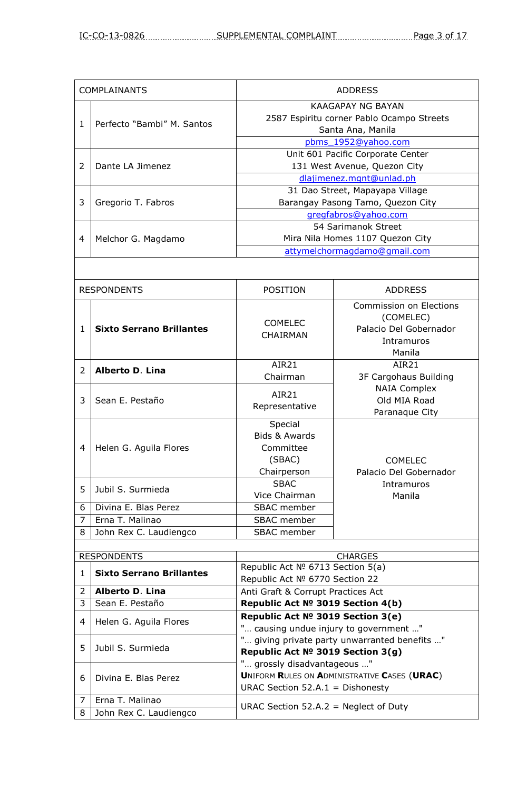| <b>COMPLAINANTS</b> |                            | <b>ADDRESS</b>                            |  |
|---------------------|----------------------------|-------------------------------------------|--|
|                     | Perfecto "Bambi" M. Santos | KAAGAPAY NG BAYAN                         |  |
|                     |                            | 2587 Espiritu corner Pablo Ocampo Streets |  |
|                     |                            | Santa Ana, Manila                         |  |
|                     |                            | pbms 1952@yahoo.com                       |  |
| $\mathcal{P}$       | Dante LA Jimenez           | Unit 601 Pacific Corporate Center         |  |
|                     |                            | 131 West Avenue, Quezon City              |  |
|                     |                            | dlajimenez.mgnt@unlad.ph                  |  |
| 3                   | Gregorio T. Fabros         | 31 Dao Street, Mapayapa Village           |  |
|                     |                            | Barangay Pasong Tamo, Quezon City         |  |
|                     |                            | gregfabros@yahoo.com                      |  |
|                     | Melchor G. Magdamo         | 54 Sarimanok Street                       |  |
| 4                   |                            | Mira Nila Homes 1107 Quezon City          |  |
|                     |                            | attymelchormagdamo@gmail.com              |  |
|                     |                            |                                           |  |

| <b>RESPONDENTS</b> |                                 | <b>POSITION</b>                                                           | <b>ADDRESS</b>                                                                         |
|--------------------|---------------------------------|---------------------------------------------------------------------------|----------------------------------------------------------------------------------------|
| $\mathbf{1}$       | <b>Sixto Serrano Brillantes</b> | <b>COMELEC</b><br><b>CHAIRMAN</b>                                         | Commission on Elections<br>(COMELEC)<br>Palacio Del Gobernador<br>Intramuros<br>Manila |
| 2                  | Alberto D. Lina                 | <b>AIR21</b><br>Chairman                                                  | AIR <sub>21</sub><br>3F Cargohaus Building                                             |
| 3                  | Sean E. Pestaño                 | <b>AIR21</b><br>Representative                                            | <b>NAIA Complex</b><br>Old MIA Road<br>Paranaque City                                  |
| 4                  | Helen G. Aguila Flores          | Special<br><b>Bids &amp; Awards</b><br>Committee<br>(SBAC)<br>Chairperson | <b>COMELEC</b><br>Palacio Del Gobernador                                               |
| 5                  | Jubil S. Surmieda               | <b>SBAC</b><br>Vice Chairman                                              | Intramuros<br>Manila                                                                   |
| 6                  | Divina E. Blas Perez            | SBAC member                                                               |                                                                                        |
| $\overline{7}$     | Erna T. Malinao                 | <b>SBAC</b> member                                                        |                                                                                        |
| 8                  | John Rex C. Laudiengco          | SBAC member                                                               |                                                                                        |
|                    |                                 |                                                                           |                                                                                        |

| <b>RESPONDENTS</b> |                                 | <b>CHARGES</b>                                                                                                  |  |
|--------------------|---------------------------------|-----------------------------------------------------------------------------------------------------------------|--|
|                    | <b>Sixto Serrano Brillantes</b> | Republic Act Nº 6713 Section 5(a)                                                                               |  |
|                    |                                 | Republic Act Nº 6770 Section 22                                                                                 |  |
| $\mathcal{L}$      | Alberto D. Lina                 | Anti Graft & Corrupt Practices Act                                                                              |  |
| 3                  | Sean E. Pestaño                 | Republic Act № 3019 Section 4(b)                                                                                |  |
| 4                  | Helen G. Aguila Flores          | Republic Act № 3019 Section 3(e)<br>" causing undue injury to government "                                      |  |
| 5.                 | Jubil S. Surmieda               | " giving private party unwarranted benefits "<br>Republic Act № 3019 Section 3(g)                               |  |
| 6                  | Divina E. Blas Perez            | " grossly disadvantageous "<br>UNIFORM RULES ON ADMINISTRATIVE CASES (URAC)<br>URAC Section 52.A.1 = Dishonesty |  |
| 7                  | Erna T. Malinao                 | URAC Section $52.A.2$ = Neglect of Duty                                                                         |  |
| 8                  | John Rex C. Laudiengco          |                                                                                                                 |  |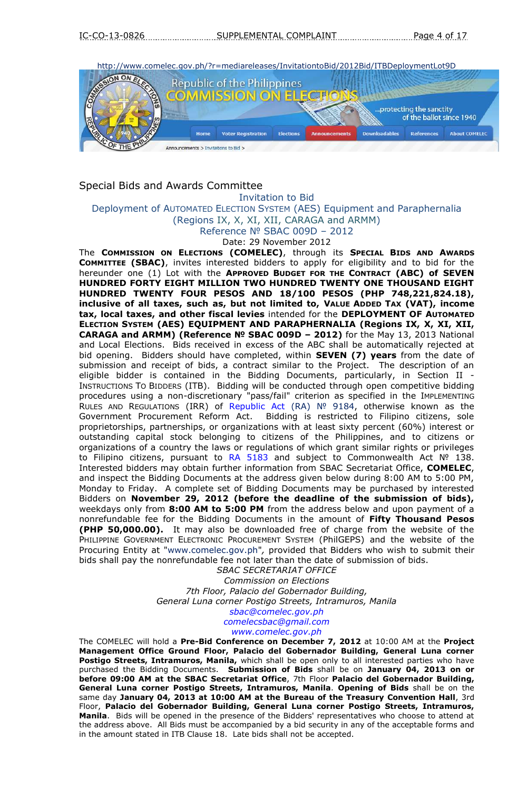

### Special Bids and Awards Committee

Invitation to Bid

Deployment of AUTOMATED ELECTION SYSTEM (AES) Equipment and Paraphernalia

(Regions IX, X, XI, XII, CARAGA and ARMM)

Reference № SBAC 009D – 2012

Date: 29 November 2012

The **COMMISSION ON ELECTIONS (COMELEC)**, through its **SPECIAL BIDS AND AWARDS COMMITTEE (SBAC)**, invites interested bidders to apply for eligibility and to bid for the hereunder one (1) Lot with the **APPROVED BUDGET FOR THE CONTRACT (ABC) of SEVEN HUNDRED FORTY EIGHT MILLION TWO HUNDRED TWENTY ONE THOUSAND EIGHT HUNDRED TWENTY FOUR PESOS AND 18/100 PESOS (PHP 748,221,824.18), inclusive of all taxes, such as, but not limited to, VALUE ADDED TAX (VAT), income tax, local taxes, and other fiscal levies** intended for the **DEPLOYMENT OF AUTOMATED ELECTION SYSTEM (AES) EQUIPMENT AND PARAPHERNALIA (Regions IX, X, XI, XII, CARAGA and ARMM) (Reference № SBAC 009D – 2012)** for the May 13, 2013 National and Local Elections. Bids received in excess of the ABC shall be automatically rejected at bid opening. Bidders should have completed, within **SEVEN (7) years** from the date of submission and receipt of bids, a contract similar to the Project. The description of an eligible bidder is contained in the Bidding Documents, particularly, in Section II - INSTRUCTIONS TO BIDDERS (ITB). Bidding will be conducted through open competitive bidding procedures using a non-discretionary "pass/fail" criterion as specified in the IMPLEMENTING RULES AND REGULATIONS (IRR) of [Republic Act \(RA\)](http://www.comelec.gov.ph/?r=laws/RepublicActs/RA9184TOC) Nº 9184, otherwise known as the Government Procurement Reform Act. Bidding is restricted to Filipino citizens, sole proprietorships, partnerships, or organizations with at least sixty percent (60%) interest or outstanding capital stock belonging to citizens of the Philippines, and to citizens or organizations of a country the laws or regulations of which grant similar rights or privileges to Filipino citizens, pursuant to [RA 5183](http://www.comelec.gov.ph/?r=laws/RepublicActs/RA5183) and subject to Commonwealth Act Nº 138. Interested bidders may obtain further information from SBAC Secretariat Office, **COMELEC**, and inspect the Bidding Documents at the address given below during 8:00 AM to 5:00 PM, Monday to Friday. A complete set of Bidding Documents may be purchased by interested Bidders on **November 29, 2012 (before the deadline of the submission of bids),** weekdays only from **8:00 AM to 5:00 PM** from the address below and upon payment of a nonrefundable fee for the Bidding Documents in the amount of **Fifty Thousand Pesos (PHP 50,000.00).** It may also be downloaded free of charge from the website of the PHILIPPINE GOVERNMENT ELECTRONIC PROCUREMENT SYSTEM (PhilGEPS) and the website of the Procuring Entity at "www.comelec.gov.ph"*,* provided that Bidders who wish to submit their bids shall pay the nonrefundable fee not later than the date of submission of bids.

*SBAC SECRETARIAT OFFICE Commission on Elections 7th Floor, Palacio del Gobernador Building, General Luna corner Postigo Streets, Intramuros, Manila [sbac@comelec.gov.ph](mailto:sbac@comelec.gov.ph) [comelecsbac@gmail.com](mailto:comelecsbac@gmail.com) [www.comelec.gov.ph](http://www.comelec.gov.ph/)*

The COMELEC will hold a **Pre-Bid Conference on December 7, 2012** at 10:00 AM at the **Project Management Office Ground Floor, Palacio del Gobernador Building, General Luna corner Postigo Streets, Intramuros, Manila,** which shall be open only to all interested parties who have purchased the Bidding Documents. **Submission of Bids** shall be on **January 04, 2013 on or before 09:00 AM at the SBAC Secretariat Office**, 7th Floor **Palacio del Gobernador Building, General Luna corner Postigo Streets, Intramuros, Manila**. **Opening of Bids** shall be on the same day **January 04, 2013 at 10:00 AM at the Bureau of the Treasury Convention Hall**, 3rd Floor, **Palacio del Gobernador Building, General Luna corner Postigo Streets, Intramuros, Manila**. Bids will be opened in the presence of the Bidders' representatives who choose to attend at the address above. All Bids must be accompanied by a bid security in any of the acceptable forms and in the amount stated in ITB Clause 18. Late bids shall not be accepted.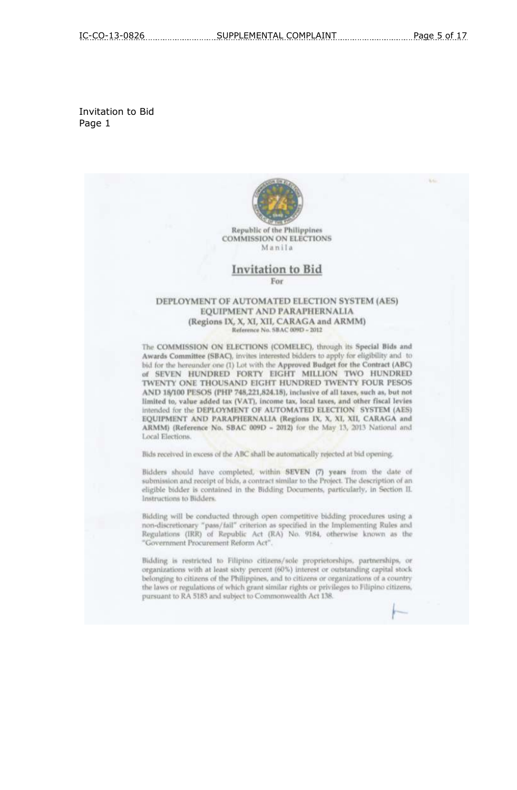#### Invitation to Bid Page 1

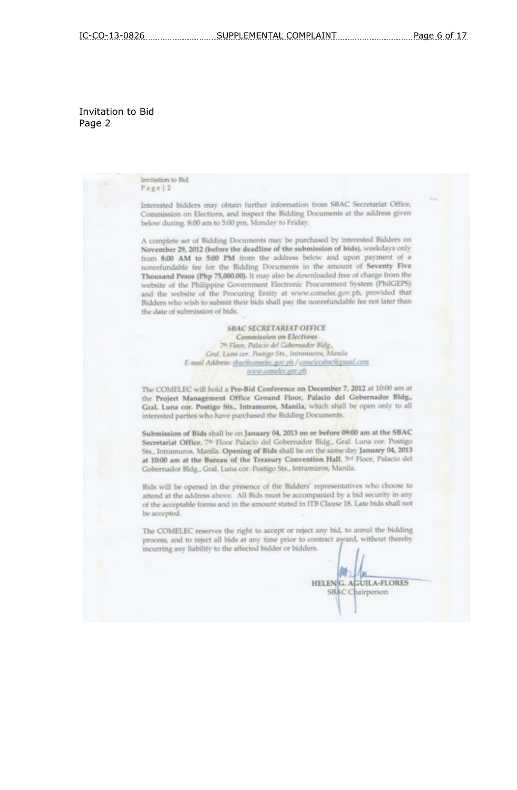### Invitation to Bid Page 2

| INVISION SO DIGI<br>Page 2                                                                                                                                                                                                                                                                                                                                                                                                                                                                                                                                                                                                                                                                              |
|---------------------------------------------------------------------------------------------------------------------------------------------------------------------------------------------------------------------------------------------------------------------------------------------------------------------------------------------------------------------------------------------------------------------------------------------------------------------------------------------------------------------------------------------------------------------------------------------------------------------------------------------------------------------------------------------------------|
| Interested bidders may obtain further information from SBAC Secretariat Office,<br>Commission on Elections, and inspect the Bidding Documents at the address given<br>below during. 8:00 am to 5:00 pm, Monday to Friday.                                                                                                                                                                                                                                                                                                                                                                                                                                                                               |
| A complete set of Bidding Documents may be purchased by interested Bidders on<br>November 29, 2012 (before the deadline of the submission of bids), weekdays only<br>from 8:00 AM to 5:00 PM from the address below and upon payment of a<br>nonrefundable fee for the Bidding Documents in the amount of Seventy Five<br>Thousand Pesos (Php 75,000.00). It may also be downloaded free of charge from the<br>website of the Philippine Government Electronic Procurement System (PhilGEPS)<br>and the website of the Procuring Entity at www.comelec.gov.ph, provided that<br>Bidders who wish to submit their bids shall pay the nonrefundable fee not later than<br>the date of submission of bids. |
| <b>SBAC SECRETARIAT OFFICE</b>                                                                                                                                                                                                                                                                                                                                                                                                                                                                                                                                                                                                                                                                          |
| <b>Commission on Elections</b>                                                                                                                                                                                                                                                                                                                                                                                                                                                                                                                                                                                                                                                                          |
| 7 <sup>th</sup> Floor, Palacio del Gobernador Bldg.,                                                                                                                                                                                                                                                                                                                                                                                                                                                                                                                                                                                                                                                    |
| Gral. Luna cor. Postigo Sts., Intramuros, Manila                                                                                                                                                                                                                                                                                                                                                                                                                                                                                                                                                                                                                                                        |
| E-mail Address: sbac@comelec.gov.ph / comelecsbac@gmail.com                                                                                                                                                                                                                                                                                                                                                                                                                                                                                                                                                                                                                                             |
| www.complec.gov.ph                                                                                                                                                                                                                                                                                                                                                                                                                                                                                                                                                                                                                                                                                      |
| The COMELEC will hold a Pre-Bid Conference on December 7, 2012 at 10:00 am at<br>the Project Management Office Ground Floor, Palacio del Gobernador Bldg.,<br>Gral. Luna cor. Postigo Sts., Intramuros, Manila, which shall be open only to all<br>interested parties who have purchased the Bidding Documents.                                                                                                                                                                                                                                                                                                                                                                                         |
| Submission of Bids shall be on January 04, 2013 on or before 09:00 am at the SBAC<br>Secretariat Office, 7 <sup>th</sup> Floor Palacio del Gobernador Bldg., Gral. Luna cor. Postigo<br>Sts., Intramuros, Manila. Opening of Bids shall be on the same day January 04, 2013<br>at 10:00 am at the Bureau of the Treasury Convention Hall, 3rd Floor, Palacio del<br>Gobernador Bldg., Gral, Luna cor. Postigo Sts., Intramuros, Manila.                                                                                                                                                                                                                                                                 |
| Bids will be opened in the presence of the Bidders' representatives who choose to<br>attend at the address above. All Bids must be accompanied by a bid security in any<br>of the acceptable forms and in the amount stated in ITB Clause 18. Late bids shall not                                                                                                                                                                                                                                                                                                                                                                                                                                       |
| be accepted.                                                                                                                                                                                                                                                                                                                                                                                                                                                                                                                                                                                                                                                                                            |
| The COMELEC reserves the right to accept or reject any bid, to annul the bidding<br>process, and to reject all bids at any time prior to contract award, without thereby<br>incurring any liability to the affected bidder or bidders.                                                                                                                                                                                                                                                                                                                                                                                                                                                                  |
|                                                                                                                                                                                                                                                                                                                                                                                                                                                                                                                                                                                                                                                                                                         |
|                                                                                                                                                                                                                                                                                                                                                                                                                                                                                                                                                                                                                                                                                                         |
| <b>AGUILA-FLORES</b><br><b>HELENIG</b>                                                                                                                                                                                                                                                                                                                                                                                                                                                                                                                                                                                                                                                                  |
| <b>SBAC</b> Chairperson                                                                                                                                                                                                                                                                                                                                                                                                                                                                                                                                                                                                                                                                                 |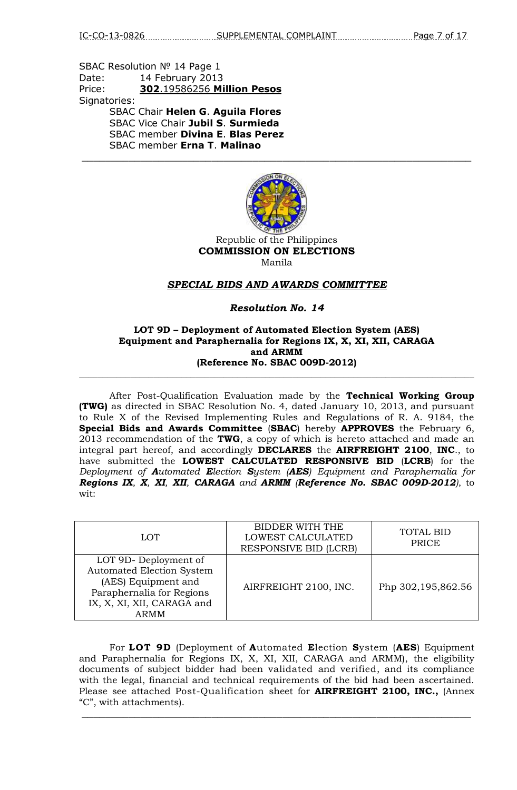SBAC Resolution № 14 Page 1 Date: 14 February 2013 Price: **302**.19586256 **Million Pesos** Signatories: SBAC Chair **Helen G**. **Aguila Flores** SBAC Vice Chair **Jubil S**. **Surmieda** SBAC member **Divina E**. **Blas Perez** SBAC member **Erna T**. **Malinao**



\_\_\_\_\_\_\_\_\_\_\_\_\_\_\_\_\_\_\_\_\_\_\_\_\_\_\_\_\_\_\_\_\_\_\_\_\_\_\_\_\_\_\_\_\_\_\_\_\_\_\_\_\_\_\_\_\_\_\_\_\_\_\_\_\_\_

Republic of the Philippines **COMMISSION ON ELECTIONS** Manila

### *SPECIAL BIDS AND AWARDS COMMITTEE*

### *Resolution No. 14*

#### **LOT 9D – Deployment of Automated Election System (AES) Equipment and Paraphernalia for Regions IX, X, XI, XII, CARAGA and ARMM (Reference No. SBAC 009D-2012)**

 $\_$  , and the set of the set of the set of the set of the set of the set of the set of the set of the set of the set of the set of the set of the set of the set of the set of the set of the set of the set of the set of th

After Post-Qualification Evaluation made by the **Technical Working Group (TWG)** as directed in SBAC Resolution No. 4, dated January 10, 2013, and pursuant to Rule X of the Revised Implementing Rules and Regulations of R. A. 9184, the **Special Bids and Awards Committee** (**SBAC**) hereby **APPROVES** the February 6, 2013 recommendation of the **TWG**, a copy of which is hereto attached and made an integral part hereof, and accordingly **DECLARES** the **AIRFREIGHT 2100**, **INC**., to have submitted the **LOWEST CALCULATED RESPONSIVE BID** (**LCRB**) for the *Deployment of Automated Election System (AES) Equipment and Paraphernalia for Regions IX, X, XI, XII, CARAGA and ARMM (Reference No. SBAC 009D-2012)*, to wit:

| <b>LOT</b>                                                                                                                                         | BIDDER WITH THE<br><b>LOWEST CALCULATED</b><br><b>RESPONSIVE BID (LCRB)</b> | <b>TOTAL BID</b><br>PRICE |
|----------------------------------------------------------------------------------------------------------------------------------------------------|-----------------------------------------------------------------------------|---------------------------|
| LOT 9D-Deployment of<br><b>Automated Election System</b><br>(AES) Equipment and<br>Paraphernalia for Regions<br>IX, X, XI, XII, CARAGA and<br>ARMM | AIRFREIGHT 2100, INC.                                                       | Php 302,195,862.56        |

For **LOT 9D** (Deployment of **A**utomated **E**lection **S**ystem (**AES**) Equipment and Paraphernalia for Regions IX, X, XI, XII, CARAGA and ARMM), the eligibility documents of subject bidder had been validated and verified, and its compliance with the legal, financial and technical requirements of the bid had been ascertained. Please see attached Post-Qualification sheet for **AIRFREIGHT 2100, INC.,** (Annex "C", with attachments).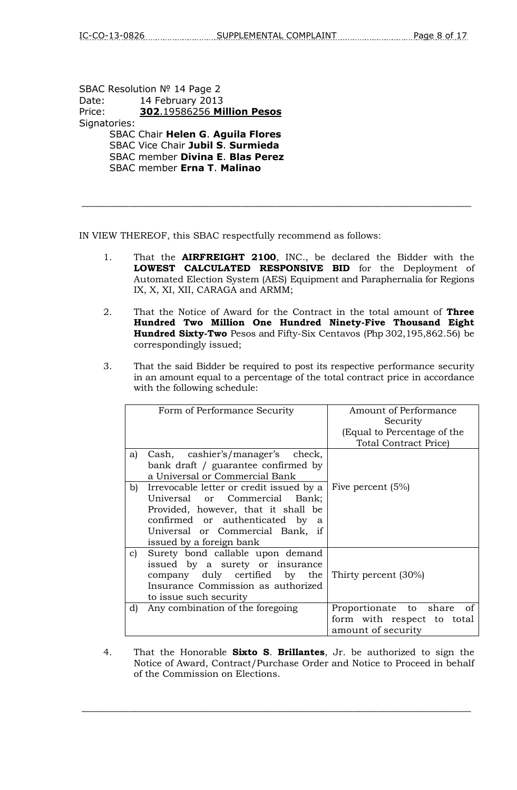SBAC Resolution № 14 Page 2 Date: 14 February 2013 Price: **302**.19586256 **Million Pesos** Signatories: SBAC Chair **Helen G**. **Aguila Flores** SBAC Vice Chair **Jubil S**. **Surmieda** SBAC member **Divina E**. **Blas Perez** SBAC member **Erna T**. **Malinao**

IN VIEW THEREOF, this SBAC respectfully recommend as follows:

1. That the **AIRFREIGHT 2100**, INC., be declared the Bidder with the **LOWEST CALCULATED RESPONSIVE BID** for the Deployment of Automated Election System (AES) Equipment and Paraphernalia for Regions IX, X, XI, XII, CARAGA and ARMM;

\_\_\_\_\_\_\_\_\_\_\_\_\_\_\_\_\_\_\_\_\_\_\_\_\_\_\_\_\_\_\_\_\_\_\_\_\_\_\_\_\_\_\_\_\_\_\_\_\_\_\_\_\_\_\_\_\_\_\_\_\_\_\_\_\_\_

- 2. That the Notice of Award for the Contract in the total amount of **Three Hundred Two Million One Hundred Ninety-Five Thousand Eight Hundred Sixty-Two** Pesos and Fifty-Six Centavos (Php 302,195,862.56) be correspondingly issued;
- 3. That the said Bidder be required to post its respective performance security in an amount equal to a percentage of the total contract price in accordance with the following schedule:

|    | Form of Performance Security                                                                                                                                                                                           | Amount of Performance<br>Security<br>(Equal to Percentage of the<br><b>Total Contract Price)</b> |
|----|------------------------------------------------------------------------------------------------------------------------------------------------------------------------------------------------------------------------|--------------------------------------------------------------------------------------------------|
| a) | Cash, cashier's/manager's check,<br>bank draft / guarantee confirmed by<br>a Universal or Commercial Bank                                                                                                              |                                                                                                  |
| b) | Irrevocable letter or credit issued by a<br>Universal or Commercial Bank;<br>Provided, however, that it shall be<br>confirmed or authenticated by<br>a<br>Universal or Commercial Bank, if<br>issued by a foreign bank | Five percent (5%)                                                                                |
| C) | Surety bond callable upon demand<br>issued by a surety or insurance<br>company duly certified by the<br>Insurance Commission as authorized<br>to issue such security                                                   | Thirty percent (30%)                                                                             |
| d) | Any combination of the foregoing                                                                                                                                                                                       | Proportionate to share<br>0f<br>form with respect to total<br>amount of security                 |

4. That the Honorable **Sixto S**. **Brillantes**, Jr. be authorized to sign the Notice of Award, Contract/Purchase Order and Notice to Proceed in behalf of the Commission on Elections.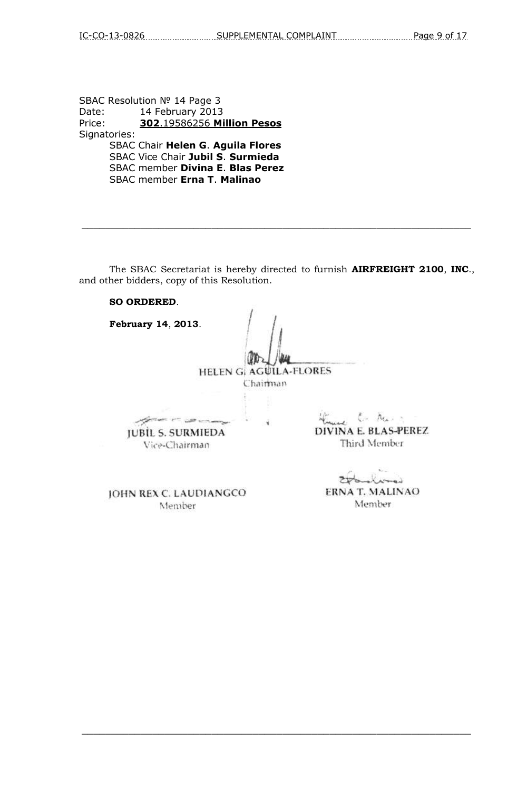SBAC Resolution № 14 Page 3 Date: 14 February 2013 Price: **302**.19586256 **Million Pesos** Signatories: SBAC Chair **Helen G**. **Aguila Flores** SBAC Vice Chair **Jubil S**. **Surmieda** SBAC member **Divina E**. **Blas Perez** SBAC member **Erna T**. **Malinao**

The SBAC Secretariat is hereby directed to furnish **AIRFREIGHT 2100**, **INC**., and other bidders, copy of this Resolution.

 $\_$  , and the set of the set of the set of the set of the set of the set of the set of the set of the set of the set of the set of the set of the set of the set of the set of the set of the set of the set of the set of th

#### **SO ORDERED**.

**February 14**, **2013**. HELEN G. AGUILA-FLORES Chairman  $\mathcal{L}$  .  $\mathcal{N}_{\mathcal{A}}$  . algorithment with any DIVINA E. BLAS-PEREZ **JUBIL S. SURMIEDA** Third Member Vice-Chairman

 $\_$  , and the set of the set of the set of the set of the set of the set of the set of the set of the set of the set of the set of the set of the set of the set of the set of the set of the set of the set of the set of th

 $\lambda$ 

ERNA T. MALINAO Member

JOHN REX C. LAUDIANGCO Member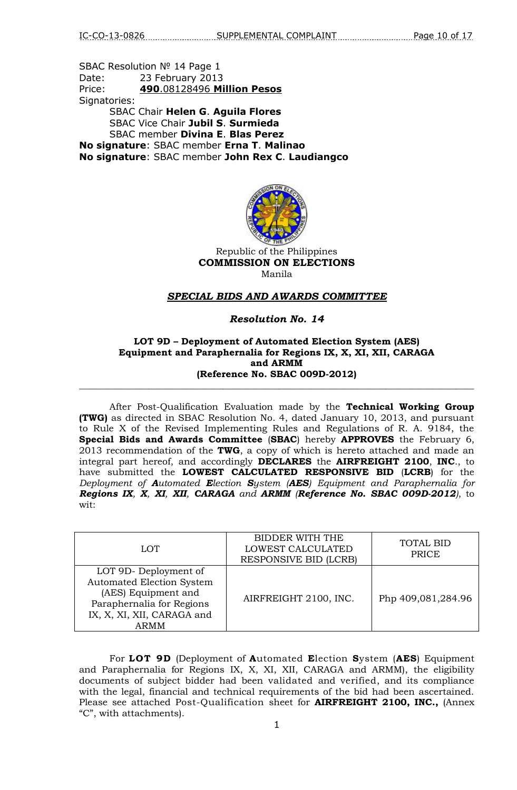SBAC Resolution № 14 Page 1 Date: 23 February 2013 Price: **490**.08128496 **Million Pesos** Signatories: SBAC Chair **Helen G**. **Aguila Flores** SBAC Vice Chair **Jubil S**. **Surmieda** SBAC member **Divina E**. **Blas Perez No signature**: SBAC member **Erna T**. **Malinao No signature**: SBAC member **John Rex C**. **Laudiangco**



Republic of the Philippines **COMMISSION ON ELECTIONS** Manila

#### *SPECIAL BIDS AND AWARDS COMMITTEE*

#### *Resolution No. 14*

#### **LOT 9D – Deployment of Automated Election System (AES) Equipment and Paraphernalia for Regions IX, X, XI, XII, CARAGA and ARMM (Reference No. SBAC 009D-2012)**

\_\_\_\_\_\_\_\_\_\_\_\_\_\_\_\_\_\_\_\_\_\_\_\_\_\_\_\_\_\_\_\_\_\_\_\_\_\_\_\_\_\_\_\_\_\_\_\_\_\_\_\_\_\_\_\_\_\_\_\_\_\_\_\_\_\_\_\_\_\_\_\_\_\_\_\_\_\_\_\_\_\_\_\_\_

After Post-Qualification Evaluation made by the **Technical Working Group (TWG)** as directed in SBAC Resolution No. 4, dated January 10, 2013, and pursuant to Rule X of the Revised Implementing Rules and Regulations of R. A. 9184, the **Special Bids and Awards Committee** (**SBAC**) hereby **APPROVES** the February 6, 2013 recommendation of the **TWG**, a copy of which is hereto attached and made an integral part hereof, and accordingly **DECLARES** the **AIRFREIGHT 2100**, **INC**., to have submitted the **LOWEST CALCULATED RESPONSIVE BID** (**LCRB**) for the *Deployment of Automated Election System (AES) Equipment and Paraphernalia for Regions IX, X, XI, XII, CARAGA and ARMM (Reference No. SBAC 009D-2012)*, to wit:

| <b>LOT</b>                                                                                                                                         | <b>BIDDER WITH THE</b><br>LOWEST CALCULATED<br><b>RESPONSIVE BID (LCRB)</b> | <b>TOTAL BID</b><br>PRICE |
|----------------------------------------------------------------------------------------------------------------------------------------------------|-----------------------------------------------------------------------------|---------------------------|
| LOT 9D-Deployment of<br><b>Automated Election System</b><br>(AES) Equipment and<br>Paraphernalia for Regions<br>IX, X, XI, XII, CARAGA and<br>ARMM | AIRFREIGHT 2100, INC.                                                       | Php 409,081,284.96        |

For **LOT 9D** (Deployment of **A**utomated **E**lection **S**ystem (**AES**) Equipment and Paraphernalia for Regions IX, X, XI, XII, CARAGA and ARMM), the eligibility documents of subject bidder had been validated and verified, and its compliance with the legal, financial and technical requirements of the bid had been ascertained. Please see attached Post-Qualification sheet for **AIRFREIGHT 2100, INC.,** (Annex "C", with attachments).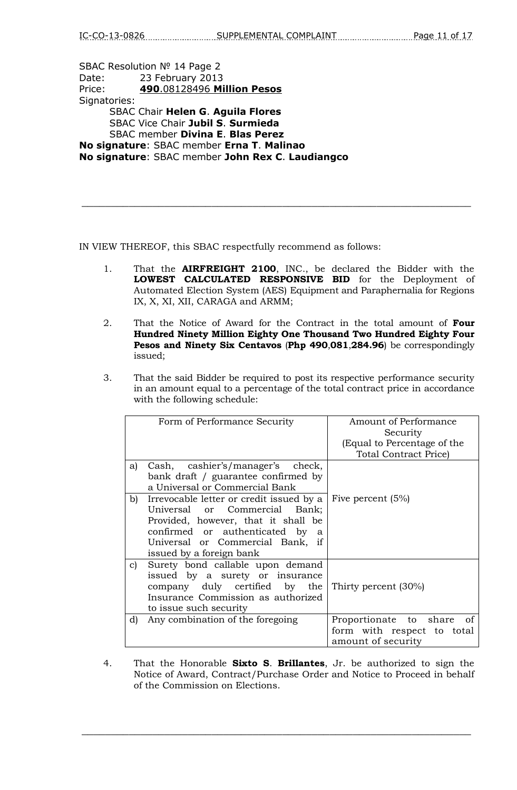SBAC Resolution № 14 Page 2 Date: 23 February 2013 Price: **490**.08128496 **Million Pesos** Signatories: SBAC Chair **Helen G**. **Aguila Flores** SBAC Vice Chair **Jubil S**. **Surmieda** SBAC member **Divina E**. **Blas Perez No signature**: SBAC member **Erna T**. **Malinao No signature**: SBAC member **John Rex C**. **Laudiangco**

IN VIEW THEREOF, this SBAC respectfully recommend as follows:

1. That the **AIRFREIGHT 2100**, INC., be declared the Bidder with the **LOWEST CALCULATED RESPONSIVE BID** for the Deployment of Automated Election System (AES) Equipment and Paraphernalia for Regions IX, X, XI, XII, CARAGA and ARMM;

 $\_$  , and the set of the set of the set of the set of the set of the set of the set of the set of the set of the set of the set of the set of the set of the set of the set of the set of the set of the set of the set of th

- 2. That the Notice of Award for the Contract in the total amount of **Four Hundred Ninety Million Eighty One Thousand Two Hundred Eighty Four Pesos and Ninety Six Centavos** (**Php 490**,**081**,**284.96**) be correspondingly issued;
- 3. That the said Bidder be required to post its respective performance security in an amount equal to a percentage of the total contract price in accordance with the following schedule:

|    | Form of Performance Security                                                                                                                                                                                           | Amount of Performance<br>Security<br>(Equal to Percentage of the<br><b>Total Contract Price)</b> |
|----|------------------------------------------------------------------------------------------------------------------------------------------------------------------------------------------------------------------------|--------------------------------------------------------------------------------------------------|
| a) | Cash, cashier's/manager's check,<br>bank draft / guarantee confirmed by<br>a Universal or Commercial Bank                                                                                                              |                                                                                                  |
| b) | Irrevocable letter or credit issued by a<br>Universal or Commercial Bank;<br>Provided, however, that it shall be<br>confirmed or authenticated by<br>a<br>Universal or Commercial Bank, if<br>issued by a foreign bank | Five percent (5%)                                                                                |
| C) | Surety bond callable upon demand<br>issued by a surety or insurance<br>company duly certified by the<br>Insurance Commission as authorized<br>to issue such security                                                   | Thirty percent (30%)                                                                             |
| d) | Any combination of the foregoing                                                                                                                                                                                       | Proportionate to share<br>of<br>form with respect to total<br>amount of security                 |

4. That the Honorable **Sixto S**. **Brillantes**, Jr. be authorized to sign the Notice of Award, Contract/Purchase Order and Notice to Proceed in behalf of the Commission on Elections.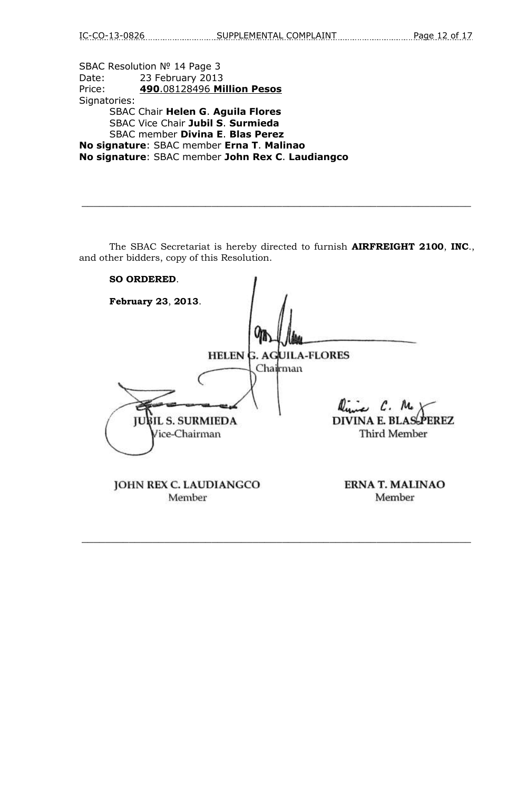SBAC Resolution № 14 Page 3 Date: 23 February 2013 Price: **490**.08128496 **Million Pesos** Signatories: SBAC Chair **Helen G**. **Aguila Flores** SBAC Vice Chair **Jubil S**. **Surmieda** SBAC member **Divina E**. **Blas Perez No signature**: SBAC member **Erna T**. **Malinao No signature**: SBAC member **John Rex C**. **Laudiangco**

The SBAC Secretariat is hereby directed to furnish **AIRFREIGHT 2100**, **INC**., and other bidders, copy of this Resolution.

 $\_$  , and the set of the set of the set of the set of the set of the set of the set of the set of the set of the set of the set of the set of the set of the set of the set of the set of the set of the set of the set of th

| <b>SO ORDERED.</b>                                     |                                   |
|--------------------------------------------------------|-----------------------------------|
| February 23, 2013.                                     |                                   |
| <b>HELEN G. AGUILA-FLORES</b>                          |                                   |
| Chailrman<br><b>JUBIL S. SURMIEDA</b><br>Vice-Chairman | line C. M.<br><b>Third Member</b> |
| JOHN REX C. LAUDIANGCO<br>Member                       | <b>ERNA T. MALINAO</b><br>Member  |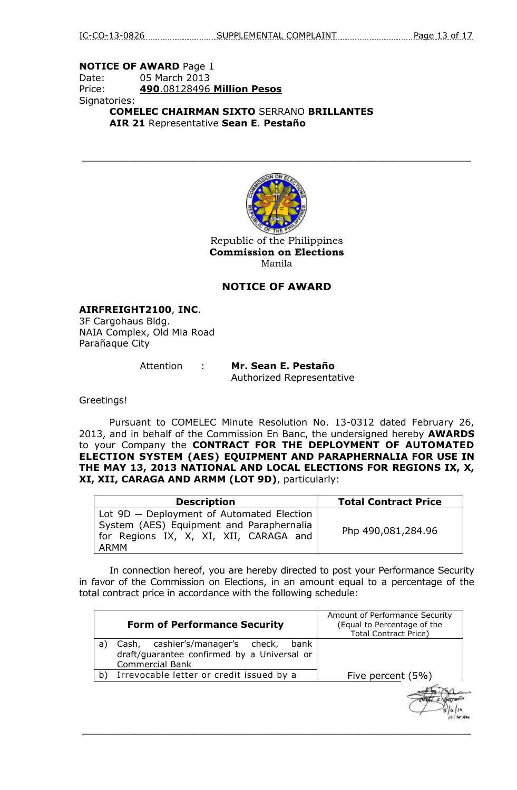### **NOTICE OF AWARD** Page 1 Date: 05 March 2013 Price: **490**.08128496 **Million Pesos** Signatories: **COMELEC CHAIRMAN SIXTO** SERRANO **BRILLANTES**

**AIR 21** Representative **Sean E**. **Pestaño**



 $\_$  , and the set of the set of the set of the set of the set of the set of the set of the set of the set of the set of the set of the set of the set of the set of the set of the set of the set of the set of the set of th

Republic of the Philippines **Commission on Elections** Manila

### **NOTICE OF AWARD**

**AIRFREIGHT2100**, **INC**. 3F Cargohaus Bldg. NAIA Complex, Old Mia Road Parañaque City

Attention : **Mr. Sean E. Pestaño** Authorized Representative

Greetings!

Pursuant to COMELEC Minute Resolution No. 13-0312 dated February 26, 2013, and in behalf of the Commission En Banc, the undersigned hereby **AWARDS** to your Company the **CONTRACT FOR THE DEPLOYMENT OF AUTOMATED ELECTION SYSTEM (AES) EQUIPMENT AND PARAPHERNALIA FOR USE IN THE MAY 13, 2013 NATIONAL AND LOCAL ELECTIONS FOR REGIONS IX, X, XI, XII, CARAGA AND ARMM (LOT 9D)**, particularly:

| <b>Description</b>                                                                                                                      | <b>Total Contract Price</b> |
|-----------------------------------------------------------------------------------------------------------------------------------------|-----------------------------|
| Lot 9D - Deployment of Automated Election<br>System (AES) Equipment and Paraphernalia<br>for Regions IX, X, XI, XII, CARAGA and<br>ARMM | Php 490,081,284.96          |

In connection hereof, you are hereby directed to post your Performance Security in favor of the Commission on Elections, in an amount equal to a percentage of the total contract price in accordance with the following schedule:

| <b>Form of Performance Security</b>                                                                                        | Amount of Performance Security<br>(Equal to Percentage of the<br><b>Total Contract Price)</b> |
|----------------------------------------------------------------------------------------------------------------------------|-----------------------------------------------------------------------------------------------|
| cashier's/manager's check,<br>Cash,<br>bank<br>a)<br>draft/guarantee confirmed by a Universal or<br><b>Commercial Bank</b> |                                                                                               |
| Irrevocable letter or credit issued by a<br>b)                                                                             | Five percent (5%)                                                                             |
|                                                                                                                            |                                                                                               |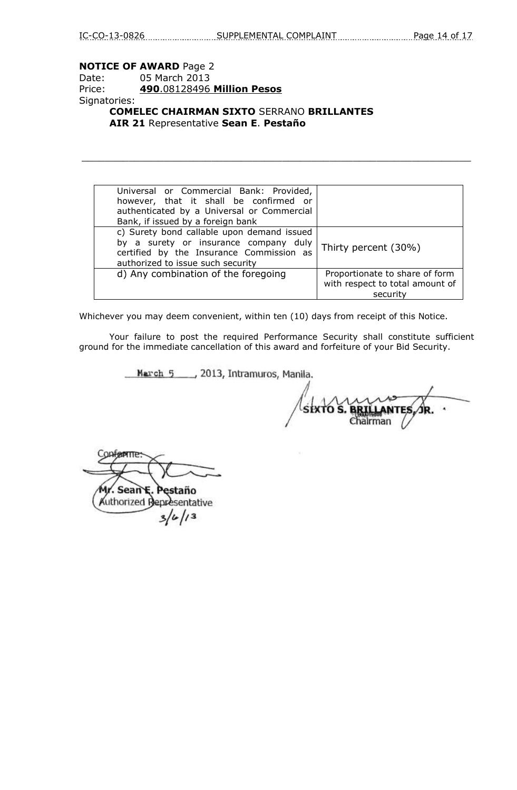### **NOTICE OF AWARD** Page 2

## Date: 05 March 2013 Price: **490**.08128496 **Million Pesos** Signatories:

**COMELEC CHAIRMAN SIXTO** SERRANO **BRILLANTES AIR 21** Representative **Sean E**. **Pestaño**

| Universal or Commercial Bank: Provided,<br>however, that it shall be confirmed or<br>authenticated by a Universal or Commercial<br>Bank, if issued by a foreign bank |                                                                               |
|----------------------------------------------------------------------------------------------------------------------------------------------------------------------|-------------------------------------------------------------------------------|
| c) Surety bond callable upon demand issued<br>by a surety or insurance company duly<br>certified by the Insurance Commission as<br>authorized to issue such security | Thirty percent (30%)                                                          |
| d) Any combination of the foregoing                                                                                                                                  | Proportionate to share of form<br>with respect to total amount of<br>security |

 $\_$  , and the set of the set of the set of the set of the set of the set of the set of the set of the set of the set of the set of the set of the set of the set of the set of the set of the set of the set of the set of th

Whichever you may deem convenient, within ten (10) days from receipt of this Notice.

Your failure to post the required Performance Security shall constitute sufficient ground for the immediate cancellation of this award and forfeiture of your Bid Security.

March 5 \_\_\_ , 2013, Intramuros, Manila.

SIXTO S. **ANTE** ialrman

Copterne Mr. Sean E. Pestaño

Authorized Representative  $3/4/13$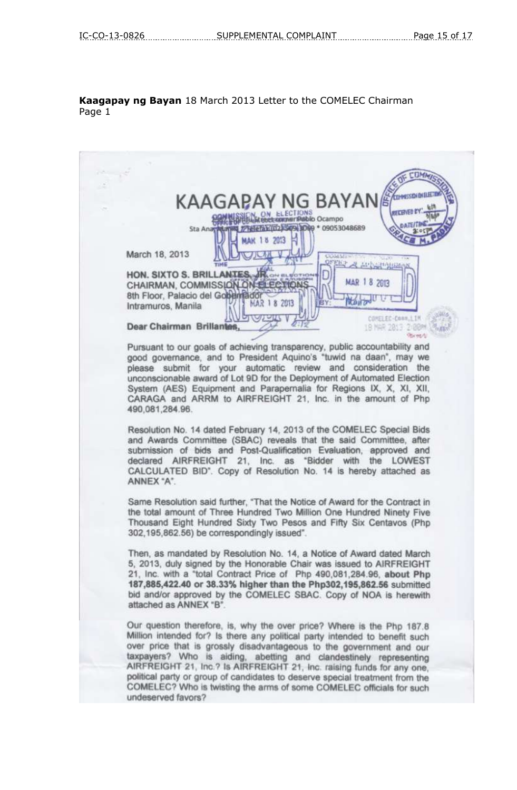### **Kaagapay ng Bayan** 18 March 2013 Letter to the COMELEC Chairman Page 1

**CTIMA KAAGAPAY NG BAYAN** N ELECTIONS<br>et commer Pablo Ocampo ON THEM CO2 1509 1009 + 09053048689 **MAK 18 2013** March 18, 2013 EKI APISSIPADEM HON. SIXTO S. BRILLANTES П MAR 18 2013 CHAIRMAN, COMMISSION ON ELEC 8th Floor, Palacio del Gobernado **Now ond U** 1 8 2013 Intramuros, Manila CONST SC-Conn.1.1M Dear Chairman Brillantes, 18 NAR 2813 2-88M **Barwell** Pursuant to our goals of achieving transparency, public accountability and good governance, and to President Aquino's "tuwid na daan", may we please submit for your automatic review and consideration the unconscionable award of Lot 9D for the Deployment of Automated Election System (AES) Equipment and Parapernalia for Regions IX, X, XI, XII, CARAGA and ARRM to AIRFREIGHT 21, Inc. in the amount of Php 490,081,284.96. Resolution No. 14 dated February 14, 2013 of the COMELEC Special Bids and Awards Committee (SBAC) reveals that the said Committee, after submission of bids and Post-Qualification Evaluation, approved and declared AIRFREIGHT 21, Inc. as "Bidder with the LOWEST CALCULATED BID". Copy of Resolution No. 14 is hereby attached as ANNEX "A". Same Resolution said further, "That the Notice of Award for the Contract in the total amount of Three Hundred Two Million One Hundred Ninety Five Thousand Eight Hundred Sixty Two Pesos and Fifty Six Centavos (Php 302,195,862.56) be correspondingly issued". Then, as mandated by Resolution No. 14, a Notice of Award dated March 5, 2013, duly signed by the Honorable Chair was issued to AIRFREIGHT 21, Inc. with a "total Contract Price of Php 490,081,284.96, about Php 187,885,422.40 or 38.33% higher than the Php302,195,862.56 submitted bid and/or approved by the COMELEC SBAC. Copy of NOA is herewith attached as ANNEX "B" Our question therefore, is, why the over price? Where is the Php 187.8 Million intended for? Is there any political party intended to benefit such over price that is grossly disadvantageous to the government and our taxpayers? Who is aiding, abetting and clandestinely representing<br>AIRFREIGHT 21, Inc.? Is AIRFREIGHT 21, Inc. raising funds for any one, political party or group of candidates to deserve special treatment from the COMELEC? Who is twisting the arms of some COMELEC officials for such undeserved favors?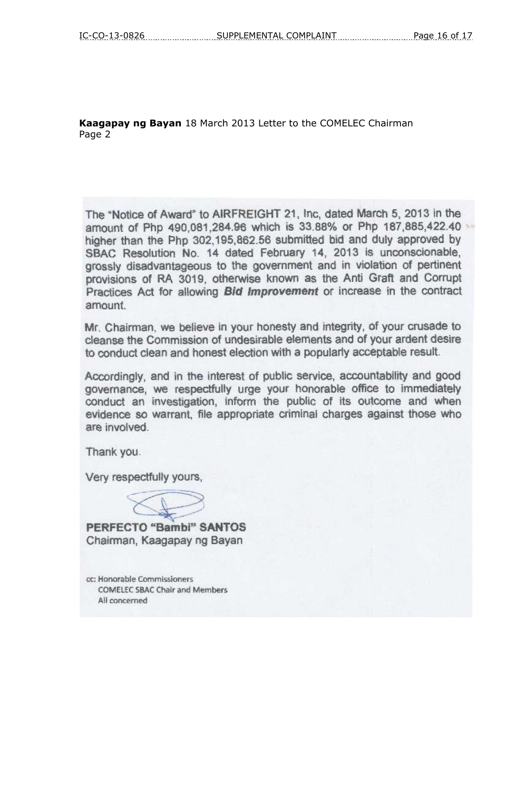**Kaagapay ng Bayan** 18 March 2013 Letter to the COMELEC Chairman Page 2

The "Notice of Award" to AIRFREIGHT 21, Inc. dated March 5, 2013 in the amount of Php 490,081,284.96 which is 33.88% or Php 187,885,422.40 higher than the Php 302,195,862.56 submitted bid and duly approved by SBAC Resolution No. 14 dated February 14, 2013 is unconscionable, grossly disadvantageous to the government and in violation of pertinent provisions of RA 3019, otherwise known as the Anti Graft and Corrupt Practices Act for allowing Bid Improvement or increase in the contract amount.

Mr. Chairman, we believe in your honesty and integrity, of your crusade to cleanse the Commission of undesirable elements and of your ardent desire to conduct clean and honest election with a popularly acceptable result.

Accordingly, and in the interest of public service, accountability and good governance, we respectfully urge your honorable office to immediately conduct an investigation, inform the public of its outcome and when evidence so warrant, file appropriate criminal charges against those who are involved.

Thank you.

Very respectfully yours,

**PERFECTO "Bambi" SANTOS** Chairman, Kaagapay ng Bayan

cc: Honorable Commissioners **COMELEC SBAC Chair and Members** All concerned